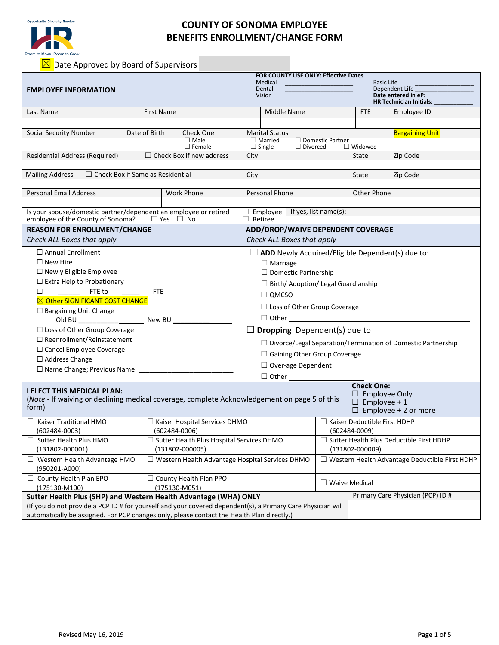

# **COUNTY OF SONOMA EMPLOYEE BENEFITS ENROLLMENT/CHANGE FORM**

 $\boxed{\boxtimes}$  Date Approved by Board of Supervisors

| <b>EMPLOYEE INFORMATION</b>                                                                                                                |                                     | <b>FOR COUNTY USE ONLY: Effective Dates</b><br>Medical<br>Dental<br>Vision | <b>Basic Life</b><br>Dependent Life<br>Date entered in eP:<br><b>HR Technician Initials:</b>    |                                            |                                                          |                        |  |  |  |  |
|--------------------------------------------------------------------------------------------------------------------------------------------|-------------------------------------|----------------------------------------------------------------------------|-------------------------------------------------------------------------------------------------|--------------------------------------------|----------------------------------------------------------|------------------------|--|--|--|--|
| Last Name                                                                                                                                  |                                     | First Name                                                                 | Middle Name                                                                                     |                                            | <b>FTE</b>                                               | Employee ID            |  |  |  |  |
| Social Security Number                                                                                                                     | Date of Birth                       | Check One<br>$\Box$ Male<br>$\Box$ Female                                  | <b>Marital Status</b><br>$\Box$ Married<br>$\Box$ Single                                        | $\Box$ Domestic Partner<br>$\Box$ Divorced | $\Box$ Widowed                                           | <b>Bargaining Unit</b> |  |  |  |  |
| Residential Address (Required)                                                                                                             | $\Box$ Check Box if new address     |                                                                            |                                                                                                 |                                            | State                                                    | Zip Code               |  |  |  |  |
| $\Box$ Check Box if Same as Residential<br><b>Mailing Address</b>                                                                          |                                     | City                                                                       |                                                                                                 | State                                      | Zip Code                                                 |                        |  |  |  |  |
| <b>Personal Email Address</b>                                                                                                              |                                     | <b>Work Phone</b>                                                          | Personal Phone                                                                                  |                                            | Other Phone                                              |                        |  |  |  |  |
| Is your spouse/domestic partner/dependent an employee or retired<br>employee of the County of Sonoma?                                      | $\Box$ Yes $\Box$ No                | $\Box$ Employee   If yes, list name(s):<br>Retiree                         |                                                                                                 |                                            |                                                          |                        |  |  |  |  |
| <b>REASON FOR ENROLLMENT/CHANGE</b>                                                                                                        |                                     |                                                                            | ADD/DROP/WAIVE DEPENDENT COVERAGE                                                               |                                            |                                                          |                        |  |  |  |  |
| Check ALL Boxes that apply                                                                                                                 |                                     | Check ALL Boxes that apply                                                 |                                                                                                 |                                            |                                                          |                        |  |  |  |  |
| $\Box$ Annual Enrollment                                                                                                                   |                                     |                                                                            | $\Box$ ADD Newly Acquired/Eligible Dependent(s) due to:                                         |                                            |                                                          |                        |  |  |  |  |
| $\Box$ New Hire                                                                                                                            |                                     | $\Box$ Marriage                                                            |                                                                                                 |                                            |                                                          |                        |  |  |  |  |
| $\Box$ Newly Eligible Employee                                                                                                             |                                     |                                                                            | $\Box$ Domestic Partnership                                                                     |                                            |                                                          |                        |  |  |  |  |
| $\Box$ Extra Help to Probationary                                                                                                          |                                     | $\Box$ Birth/ Adoption/ Legal Guardianship                                 |                                                                                                 |                                            |                                                          |                        |  |  |  |  |
| □                                                                                                                                          | <b>FTE</b>                          | $\Box$ QMCSO                                                               |                                                                                                 |                                            |                                                          |                        |  |  |  |  |
| ⊠ Other SIGNIFICANT COST CHANGE                                                                                                            |                                     | $\Box$ Loss of Other Group Coverage                                        |                                                                                                 |                                            |                                                          |                        |  |  |  |  |
| $\Box$ Bargaining Unit Change                                                                                                              |                                     |                                                                            | $\Box$ Other $\Box$                                                                             |                                            |                                                          |                        |  |  |  |  |
| $\Box$ Loss of Other Group Coverage                                                                                                        |                                     |                                                                            |                                                                                                 |                                            |                                                          |                        |  |  |  |  |
| $\Box$ Reenrollment/Reinstatement                                                                                                          | <b>Dropping</b> Dependent(s) due to |                                                                            |                                                                                                 |                                            |                                                          |                        |  |  |  |  |
| □ Cancel Employee Coverage                                                                                                                 |                                     | $\Box$ Divorce/Legal Separation/Termination of Domestic Partnership        |                                                                                                 |                                            |                                                          |                        |  |  |  |  |
| $\Box$ Address Change                                                                                                                      |                                     | □ Gaining Other Group Coverage                                             |                                                                                                 |                                            |                                                          |                        |  |  |  |  |
|                                                                                                                                            |                                     | $\Box$ Over-age Dependent                                                  |                                                                                                 |                                            |                                                          |                        |  |  |  |  |
|                                                                                                                                            |                                     | $\Box$ Other                                                               |                                                                                                 |                                            |                                                          |                        |  |  |  |  |
| <b>I ELECT THIS MEDICAL PLAN:</b><br>(Note - If waiving or declining medical coverage, complete Acknowledgement on page 5 of this<br>form) |                                     |                                                                            | <b>Check One:</b><br>$\Box$ Employee Only<br>$\Box$ Employee + 1<br>$\Box$ Employee + 2 or more |                                            |                                                          |                        |  |  |  |  |
| $\Box$ Kaiser Traditional HMO<br>$(602484 - 0003)$                                                                                         |                                     | $\Box$ Kaiser Hospital Services DHMO<br>(602484-0006)                      |                                                                                                 |                                            | $\Box$ Kaiser Deductible First HDHP<br>$(602484 - 0009)$ |                        |  |  |  |  |
| $\Box$ Sutter Health Plus HMO                                                                                                              |                                     | $\Box$ Sutter Health Plus Hospital Services DHMO                           |                                                                                                 |                                            | $\Box$ Sutter Health Plus Deductible First HDHP          |                        |  |  |  |  |
| $(131802 - 000001)$                                                                                                                        |                                     | $(131802 - 000005)$                                                        |                                                                                                 |                                            | $(131802 - 000009)$                                      |                        |  |  |  |  |
| $\Box$ Western Health Advantage HMO                                                                                                        |                                     | □ Western Health Advantage Hospital Services DHMO                          |                                                                                                 |                                            | □ Western Health Advantage Deductible First HDHP         |                        |  |  |  |  |
| (950201-A000)                                                                                                                              |                                     |                                                                            |                                                                                                 |                                            |                                                          |                        |  |  |  |  |
| $\Box$ County Health Plan EPO                                                                                                              |                                     | □ County Health Plan PPO                                                   |                                                                                                 | $\Box$ Waive Medical                       |                                                          |                        |  |  |  |  |
| $(175130 - M100)$                                                                                                                          |                                     | (175130-M051)                                                              |                                                                                                 |                                            |                                                          |                        |  |  |  |  |
| Primary Care Physician (PCP) ID #<br>Sutter Health Plus (SHP) and Western Health Advantage (WHA) ONLY                                      |                                     |                                                                            |                                                                                                 |                                            |                                                          |                        |  |  |  |  |
| (If you do not provide a PCP ID # for yourself and your covered dependent(s), a Primary Care Physician will                                |                                     |                                                                            |                                                                                                 |                                            |                                                          |                        |  |  |  |  |
| automatically be assigned. For PCP changes only, please contact the Health Plan directly.)                                                 |                                     |                                                                            |                                                                                                 |                                            |                                                          |                        |  |  |  |  |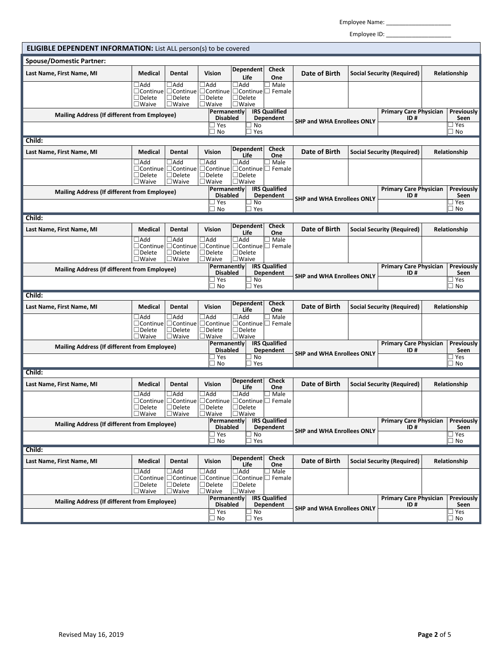Employee Name: \_\_\_\_\_\_\_\_\_\_\_\_\_\_\_\_\_\_\_\_

Employee ID: \_\_\_\_\_\_\_\_\_\_\_\_\_\_\_\_\_\_\_\_

| <b>ELIGIBLE DEPENDENT INFORMATION:</b> List ALL person(s) to be covered |                                                                   |                                                                                                       |                                                             |                                                                                         |                                   |                                                         |                                                    |                                      |                                                            |                                      |                           |
|-------------------------------------------------------------------------|-------------------------------------------------------------------|-------------------------------------------------------------------------------------------------------|-------------------------------------------------------------|-----------------------------------------------------------------------------------------|-----------------------------------|---------------------------------------------------------|----------------------------------------------------|--------------------------------------|------------------------------------------------------------|--------------------------------------|---------------------------|
| <b>Spouse/Domestic Partner:</b>                                         |                                                                   |                                                                                                       |                                                             |                                                                                         |                                   |                                                         |                                                    |                                      |                                                            |                                      |                           |
| Last Name, First Name, MI                                               | <b>Medical</b>                                                    | Dental                                                                                                | Vision                                                      |                                                                                         | Dependent<br>Life                 | <b>Check</b><br>One                                     | Date of Birth                                      | <b>Social Security (Required)</b>    |                                                            | Relationship                         |                           |
|                                                                         | $\Box$ Add<br>□Continue<br>$\Box$ Delete<br>$\square$ Waive       | $\Box$ Add<br>$\Box$ Continue<br>$\Box$ Delete<br>$\square$ Waive                                     | $\Box$ Add<br>$\Box$ Delete<br>$\square$ Waive              | $\Box$ Add<br>□ Continue <b>□ Continue</b> □ Female<br>$\Box$ Delete<br>$\square$ Waive |                                   | ] Male                                                  |                                                    |                                      |                                                            |                                      |                           |
| <b>Mailing Address (If different from Employee)</b>                     |                                                                   |                                                                                                       | Permanently<br><b>Disabled</b>                              |                                                                                         | <b>IRS Qualified</b><br>Dependent |                                                         |                                                    | <b>Primary Care Physician</b><br>ID# |                                                            | Previously<br>Seen                   |                           |
|                                                                         |                                                                   |                                                                                                       | ] Yes                                                       | ∃ No                                                                                    |                                   | <b>SHP and WHA Enrollees ONLY</b>                       |                                                    | ∃ Yes<br>$\Box$ No                   |                                                            |                                      |                           |
| $\sqsupset$ Yes<br>No<br>Child:                                         |                                                                   |                                                                                                       |                                                             |                                                                                         |                                   |                                                         |                                                    |                                      |                                                            |                                      |                           |
| Last Name, First Name, MI                                               | <b>Medical</b>                                                    | Dental                                                                                                | Vision                                                      |                                                                                         | Dependent<br>Life                 | <b>Check</b><br>One                                     | Date of Birth                                      | <b>Social Security (Required)</b>    |                                                            | Relationship                         |                           |
|                                                                         | $\Box$ Add<br>$\Box$ Continue<br>$\Box$ Delete<br>$\square$ Waive | $\Box$ Add<br>$\Box$ Continue<br>$\Box$ Delete<br>$\Box$ Waive                                        | $\sqsupset$ Add<br>$\Box$ Delete<br>$\square$ Waive         | $\Box$ Add<br>$\Box$ Delete<br>$\Box$ Waive                                             |                                   | ∃ Male<br>$\Box$ Continue $\Box$ Continue $\Box$ Female |                                                    |                                      |                                                            |                                      |                           |
| <b>Mailing Address (If different from Employee)</b>                     |                                                                   |                                                                                                       |                                                             | <b>IRS Qualified</b><br>Permanently<br><b>Disabled</b><br>Dependent                     |                                   |                                                         |                                                    | ID #                                 | <b>Primary Care Physician</b><br><b>Previously</b><br>Seen |                                      |                           |
|                                                                         |                                                                   |                                                                                                       |                                                             | ∃ Yes<br>∃ No<br>$\sqsupset$ Yes<br>∃ No                                                |                                   |                                                         | <b>SHP and WHA Enrollees ONLY</b>                  |                                      |                                                            | ∃ Yes<br>□ No                        |                           |
| Child:                                                                  |                                                                   |                                                                                                       |                                                             |                                                                                         |                                   |                                                         |                                                    |                                      |                                                            |                                      |                           |
| Last Name, First Name, MI                                               | Medical                                                           | Dental                                                                                                | Vision                                                      |                                                                                         | Dependent<br>Life                 | <b>Check</b><br>One                                     | Date of Birth<br><b>Social Security (Required)</b> |                                      |                                                            | Relationship                         |                           |
|                                                                         | $\Box$ Add<br>$\Box$ Continue<br>$\Box$ Delete<br>$\square$ Waive | $\Box$ Add<br>$\Box$ Continue<br>$\Box$ Delete<br>$\Box$ Waive                                        | $\Box$ Add<br>$\Box$ Delete<br>$\square$ Waive              | $\Box$ Add<br>$\Box$ Delete<br>$\square$ Waive                                          |                                   | ∃ Male<br>$\Box$ Continue $\Box$ Continue $\Box$ Female |                                                    |                                      |                                                            |                                      |                           |
| <b>Mailing Address (If different from Employee)</b>                     |                                                                   |                                                                                                       |                                                             | Permanently<br><b>Disabled</b>                                                          |                                   | <b>IRS Qualified</b><br>Dependent                       | <b>SHP and WHA Enrollees ONLY</b>                  |                                      | <b>Primary Care Physician</b><br>ID#                       |                                      | <b>Previously</b><br>Seen |
|                                                                         |                                                                   | Yes                                                                                                   |                                                             |                                                                                         |                                   |                                                         |                                                    |                                      |                                                            | ∃ Yes<br>$\square$ No                |                           |
| Child:                                                                  |                                                                   |                                                                                                       | ∃ No                                                        |                                                                                         | $\sqsupset$ Yes                   |                                                         |                                                    |                                      |                                                            |                                      |                           |
| Last Name, First Name, MI                                               | Medical                                                           | Dental                                                                                                | Vision                                                      |                                                                                         | Dependent<br>Life                 | <b>Check</b><br>One                                     | Date of Birth                                      | <b>Social Security (Required)</b>    |                                                            | Relationship                         |                           |
|                                                                         | $\Box$ Add<br>$\Box$ Continue<br>$\Box$ Delete<br>$\square$ Waive | $\Box$ Add<br>$\Box$ Continue<br>$\Box$ Delete<br>$\square$ Waive                                     | $\Box$ Add<br>□Continue<br>$\Box$ Delete<br>$\square$ Waive | $\Box$ Add<br>$\Box$ Delete<br>$\square$ Waive                                          |                                   | $\exists$ Male<br>$\Box$ Continue $\Box$ Female         |                                                    |                                      |                                                            |                                      |                           |
| <b>Mailing Address (If different from Employee)</b>                     |                                                                   |                                                                                                       |                                                             | Permanently<br><b>Disabled</b>                                                          |                                   | <b>IRS Qualified</b><br><b>Dependent</b>                |                                                    |                                      | <b>Primary Care Physician</b><br>ID#                       |                                      | <b>Previously</b><br>Seen |
|                                                                         |                                                                   |                                                                                                       | ] Yes<br>No                                                 |                                                                                         |                                   | <b>SHP and WHA Enrollees ONLY</b>                       |                                                    |                                      |                                                            | $\sqsupset$ Yes<br>$\Box$ No         |                           |
| Child:                                                                  |                                                                   |                                                                                                       |                                                             |                                                                                         | $\Box$ Yes                        |                                                         |                                                    |                                      |                                                            |                                      |                           |
| Last Name, First Name, MI                                               | <b>Medical</b>                                                    | Dental                                                                                                | Vision                                                      | <b>Dependent</b><br>Life                                                                |                                   | <b>Check</b><br>One                                     | <b>Date of Birth</b>                               |                                      | <b>Social Security (Required)</b>                          | Relationship                         |                           |
|                                                                         | $\Box$ Add<br>$\Box$ Delete<br>$\square$ Waive                    | $\Box$ Add<br>□Continue □Continue □Continue □Continue □ Female<br>$\square$ Delete<br>$\square$ Waive | $\Box$ Add<br>$\square$ Delete<br>$\square$ Waive           | $\Box$ Add<br>$\Box$ Delete<br>$\square$ Waive                                          |                                   | $\exists$ Male                                          |                                                    |                                      |                                                            |                                      |                           |
| <b>Mailing Address (If different from Employee)</b>                     |                                                                   |                                                                                                       |                                                             | Permanently<br><b>Disabled</b>                                                          |                                   | <b>IRS</b> Qualified<br>Dependent                       |                                                    |                                      | <b>Primary Care Physician</b><br>ID#                       |                                      | <b>Previously</b><br>Seen |
|                                                                         |                                                                   |                                                                                                       | ∃ Yes<br>∃ No                                               | ∃ No<br>$\sqsupset$ Yes                                                                 |                                   |                                                         | <b>SHP and WHA Enrollees ONLY</b>                  |                                      |                                                            |                                      | ∃ Yes<br>$\Box$ No        |
| Child:                                                                  |                                                                   |                                                                                                       |                                                             |                                                                                         |                                   |                                                         |                                                    |                                      |                                                            |                                      |                           |
| Last Name, First Name, MI                                               | Medical                                                           | Dental                                                                                                | Vision                                                      | <b>Dependent</b><br>Life                                                                |                                   | <b>Check</b><br>One                                     | Date of Birth                                      | <b>Social Security (Required)</b>    |                                                            | Relationship                         |                           |
|                                                                         | $\Box$ Add<br>$\Box$ Delete<br>$\square$ Waive                    | $\Box$ Add<br>□Continue □Continue<br>$\Box$ Delete<br>$\square$ Waive                                 | $\Box$ Add<br>$\Box$ Delete<br>$\square$ Waive              | $\Box$ Add<br>$\Box$ Delete<br>$\square$ Waive                                          |                                   | $\Box$ Male<br>□ Continue □ Continue □ Female           |                                                    |                                      |                                                            |                                      |                           |
| Mailing Address (If different from Employee)                            |                                                                   | Permanently                                                                                           |                                                             | <b>IRS</b> Qualified                                                                    | <b>Primary Care Physician</b>     |                                                         |                                                    |                                      | Previously                                                 |                                      |                           |
|                                                                         |                                                                   |                                                                                                       | <b>Disabled</b><br>∃ Yes                                    |                                                                                         | Dependent                         | <b>SHP and WHA Enrollees ONLY</b>                       |                                                    | ID#                                  |                                                            | Seen<br>$\sqsupset$ Yes<br>$\Box$ No |                           |
|                                                                         |                                                                   |                                                                                                       |                                                             | ∃ No<br>∃ Yes                                                                           |                                   |                                                         |                                                    |                                      |                                                            |                                      |                           |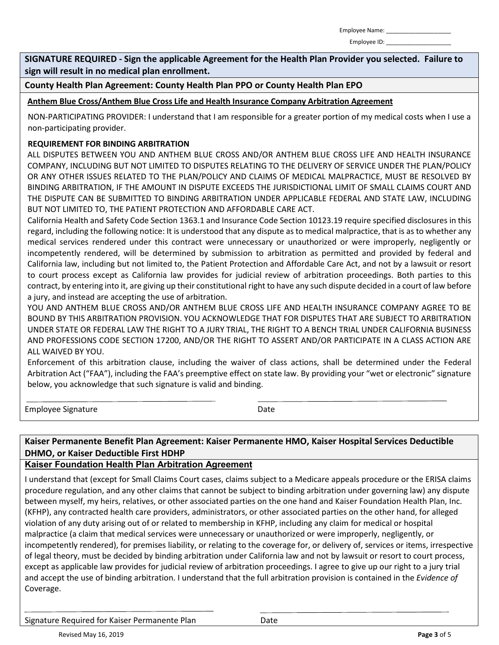Employee ID:

**SIGNATURE REQUIRED - Sign the applicable Agreement for the Health Plan Provider you selected. Failure to sign will result in no medical plan enrollment.**

**County Health Plan Agreement: County Health Plan PPO or County Health Plan EPO**

**Anthem Blue Cross/Anthem Blue Cross Life and Health Insurance Company Arbitration Agreement**

NON-PARTICIPATING PROVIDER: I understand that I am responsible for a greater portion of my medical costs when I use a non-participating provider.

#### **REQUIREMENT FOR BINDING ARBITRATION**

ALL DISPUTES BETWEEN YOU AND ANTHEM BLUE CROSS AND/OR ANTHEM BLUE CROSS LIFE AND HEALTH INSURANCE COMPANY, INCLUDING BUT NOT LIMITED TO DISPUTES RELATING TO THE DELIVERY OF SERVICE UNDER THE PLAN/POLICY OR ANY OTHER ISSUES RELATED TO THE PLAN/POLICY AND CLAIMS OF MEDICAL MALPRACTICE, MUST BE RESOLVED BY BINDING ARBITRATION, IF THE AMOUNT IN DISPUTE EXCEEDS THE JURISDICTIONAL LIMIT OF SMALL CLAIMS COURT AND THE DISPUTE CAN BE SUBMITTED TO BINDING ARBITRATION UNDER APPLICABLE FEDERAL AND STATE LAW, INCLUDING BUT NOT LIMITED TO, THE PATIENT PROTECTION AND AFFORDABLE CARE ACT.

California Health and Safety Code Section 1363.1 and Insurance Code Section 10123.19 require specified disclosures in this regard, including the following notice: It is understood that any dispute as to medical malpractice, that is as to whether any medical services rendered under this contract were unnecessary or unauthorized or were improperly, negligently or incompetently rendered, will be determined by submission to arbitration as permitted and provided by federal and California law, including but not limited to, the Patient Protection and Affordable Care Act, and not by a lawsuit or resort to court process except as California law provides for judicial review of arbitration proceedings. Both parties to this contract, by entering into it, are giving up their constitutional right to have any such dispute decided in a court of law before a jury, and instead are accepting the use of arbitration.

YOU AND ANTHEM BLUE CROSS AND/OR ANTHEM BLUE CROSS LIFE AND HEALTH INSURANCE COMPANY AGREE TO BE BOUND BY THIS ARBITRATION PROVISION. YOU ACKNOWLEDGE THAT FOR DISPUTES THAT ARE SUBJECT TO ARBITRATION UNDER STATE OR FEDERAL LAW THE RIGHT TO A JURY TRIAL, THE RIGHT TO A BENCH TRIAL UNDER CALIFORNIA BUSINESS AND PROFESSIONS CODE SECTION 17200, AND/OR THE RIGHT TO ASSERT AND/OR PARTICIPATE IN A CLASS ACTION ARE ALL WAIVED BY YOU.

Enforcement of this arbitration clause, including the waiver of class actions, shall be determined under the Federal Arbitration Act ("FAA"), including the FAA's preemptive effect on state law. By providing your "wet or electronic" signature below, you acknowledge that such signature is valid and binding.

Employee Signature **Date** Date

 $\overline{a}$ 

## **Kaiser Permanente Benefit Plan Agreement: Kaiser Permanente HMO, Kaiser Hospital Services Deductible DHMO, or Kaiser Deductible First HDHP**

## **Kaiser Foundation Health Plan Arbitration Agreement**

I understand that (except for Small Claims Court cases, claims subject to a Medicare appeals procedure or the ERISA claims procedure regulation, and any other claims that cannot be subject to binding arbitration under governing law) any dispute between myself, my heirs, relatives, or other associated parties on the one hand and Kaiser Foundation Health Plan, Inc. (KFHP), any contracted health care providers, administrators, or other associated parties on the other hand, for alleged violation of any duty arising out of or related to membership in KFHP, including any claim for medical or hospital malpractice (a claim that medical services were unnecessary or unauthorized or were improperly, negligently, or incompetently rendered), for premises liability, or relating to the coverage for, or delivery of, services or items, irrespective of legal theory, must be decided by binding arbitration under California law and not by lawsuit or resort to court process, except as applicable law provides for judicial review of arbitration proceedings. I agree to give up our right to a jury trial and accept the use of binding arbitration. I understand that the full arbitration provision is contained in the *Evidence of*  Coverage.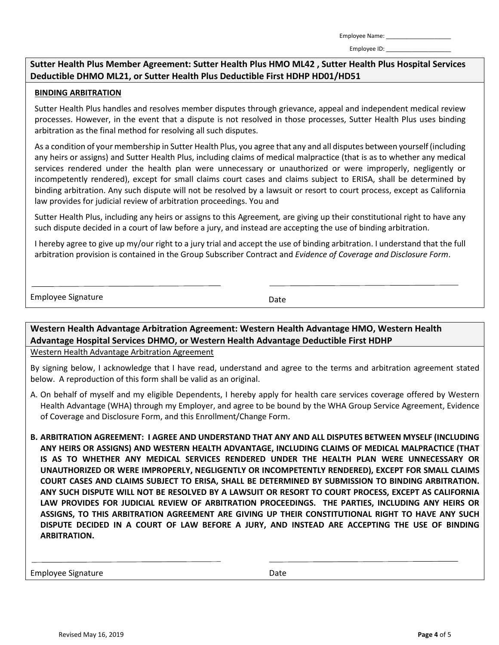Employee ID:

#### **Sutter Health Plus Member Agreement: Sutter Health Plus HMO ML42 , Sutter Health Plus Hospital Services Deductible DHMO ML21, or Sutter Health Plus Deductible First HDHP HD01/HD51**

#### **BINDING ARBITRATION**

Sutter Health Plus handles and resolves member disputes through grievance, appeal and independent medical review processes. However, in the event that a dispute is not resolved in those processes, Sutter Health Plus uses binding arbitration as the final method for resolving all such disputes.

As a condition of your membership in Sutter Health Plus, you agree that any and all disputes between yourself (including any heirs or assigns) and Sutter Health Plus, including claims of medical malpractice (that is as to whether any medical services rendered under the health plan were unnecessary or unauthorized or were improperly, negligently or incompetently rendered), except for small claims court cases and claims subject to ERISA, shall be determined by binding arbitration. Any such dispute will not be resolved by a lawsuit or resort to court process, except as California law provides for judicial review of arbitration proceedings. You and

Sutter Health Plus, including any heirs or assigns to this Agreement*,* are giving up their constitutional right to have any such dispute decided in a court of law before a jury, and instead are accepting the use of binding arbitration.

I hereby agree to give up my/our right to a jury trial and accept the use of binding arbitration. I understand that the full arbitration provision is contained in the Group Subscriber Contract and *Evidence of Coverage and Disclosure Form*.

Employee Signature **Date** Date Date

**Western Health Advantage Arbitration Agreement: Western Health Advantage HMO, Western Health Advantage Hospital Services DHMO, or Western Health Advantage Deductible First HDHP**

Western Health Advantage Arbitration Agreement

By signing below, I acknowledge that I have read, understand and agree to the terms and arbitration agreement stated below. A reproduction of this form shall be valid as an original.

- A. On behalf of myself and my eligible Dependents, I hereby apply for health care services coverage offered by Western Health Advantage (WHA) through my Employer, and agree to be bound by the WHA Group Service Agreement, Evidence of Coverage and Disclosure Form, and this Enrollment/Change Form.
- **B. ARBITRATION AGREEMENT: I AGREE AND UNDERSTAND THAT ANY AND ALL DISPUTES BETWEEN MYSELF (INCLUDING ANY HEIRS OR ASSIGNS) AND WESTERN HEALTH ADVANTAGE, INCLUDING CLAIMS OF MEDICAL MALPRACTICE (THAT IS AS TO WHETHER ANY MEDICAL SERVICES RENDERED UNDER THE HEALTH PLAN WERE UNNECESSARY OR UNAUTHORIZED OR WERE IMPROPERLY, NEGLIGENTLY OR INCOMPETENTLY RENDERED), EXCEPT FOR SMALL CLAIMS COURT CASES AND CLAIMS SUBJECT TO ERISA, SHALL BE DETERMINED BY SUBMISSION TO BINDING ARBITRATION. ANY SUCH DISPUTE WILL NOT BE RESOLVED BY A LAWSUIT OR RESORT TO COURT PROCESS, EXCEPT AS CALIFORNIA LAW PROVIDES FOR JUDICIAL REVIEW OF ARBITRATION PROCEEDINGS. THE PARTIES, INCLUDING ANY HEIRS OR ASSIGNS, TO THIS ARBITRATION AGREEMENT ARE GIVING UP THEIR CONSTITUTIONAL RIGHT TO HAVE ANY SUCH DISPUTE DECIDED IN A COURT OF LAW BEFORE A JURY, AND INSTEAD ARE ACCEPTING THE USE OF BINDING ARBITRATION.**

Employee Signature **Date** Date